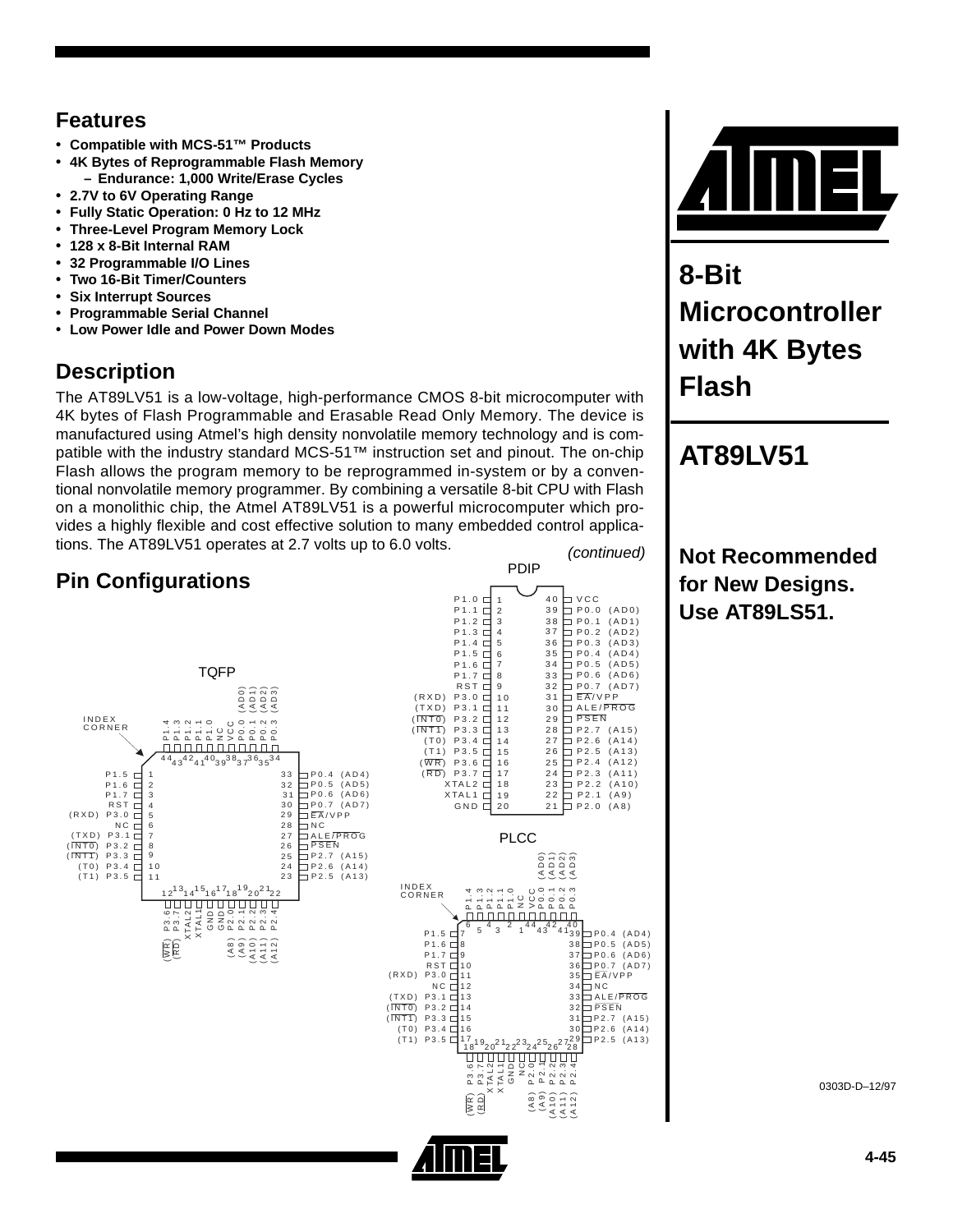#### **Features**

- **Compatible with MCS-51™ Products**
- **4K Bytes of Reprogrammable Flash Memory – Endurance: 1,000 Write/Erase Cycles**
- **2.7V to 6V Operating Range**
- **Fully Static Operation: 0 Hz to 12 MHz**
- **Three-Level Program Memory Lock**
- **128 x 8-Bit Internal RAM**
- **32 Programmable I/O Lines** • **Two 16-Bit Timer/Counters**
- **Six Interrupt Sources**
- **Programmable Serial Channel**
- **Low Power Idle and Power Down Modes**

## **Description**

The AT89LV51 is a low-voltage, high-performance CMOS 8-bit microcomputer with 4K bytes of Flash Programmable and Erasable Read Only Memory. The device is manufactured using Atmel's high density nonvolatile memory technology and is compatible with the industry standard MCS-51™ instruction set and pinout. The on-chip Flash allows the program memory to be reprogrammed in-system or by a conventional nonvolatile memory programmer. By combining a versatile 8-bit CPU with Flash on a monolithic chip, the Atmel AT89LV51 is a powerful microcomputer which provides a highly flexible and cost effective solution to many embedded control applications. The AT89LV51 operates at 2.7 volts up to 6.0 volts.



# **8-Bit Microcontroller with 4K Bytes Flash**

# **AT89LV51**

**Not Recommended for New Designs. Use AT89LS51.**



0303D-D–12/97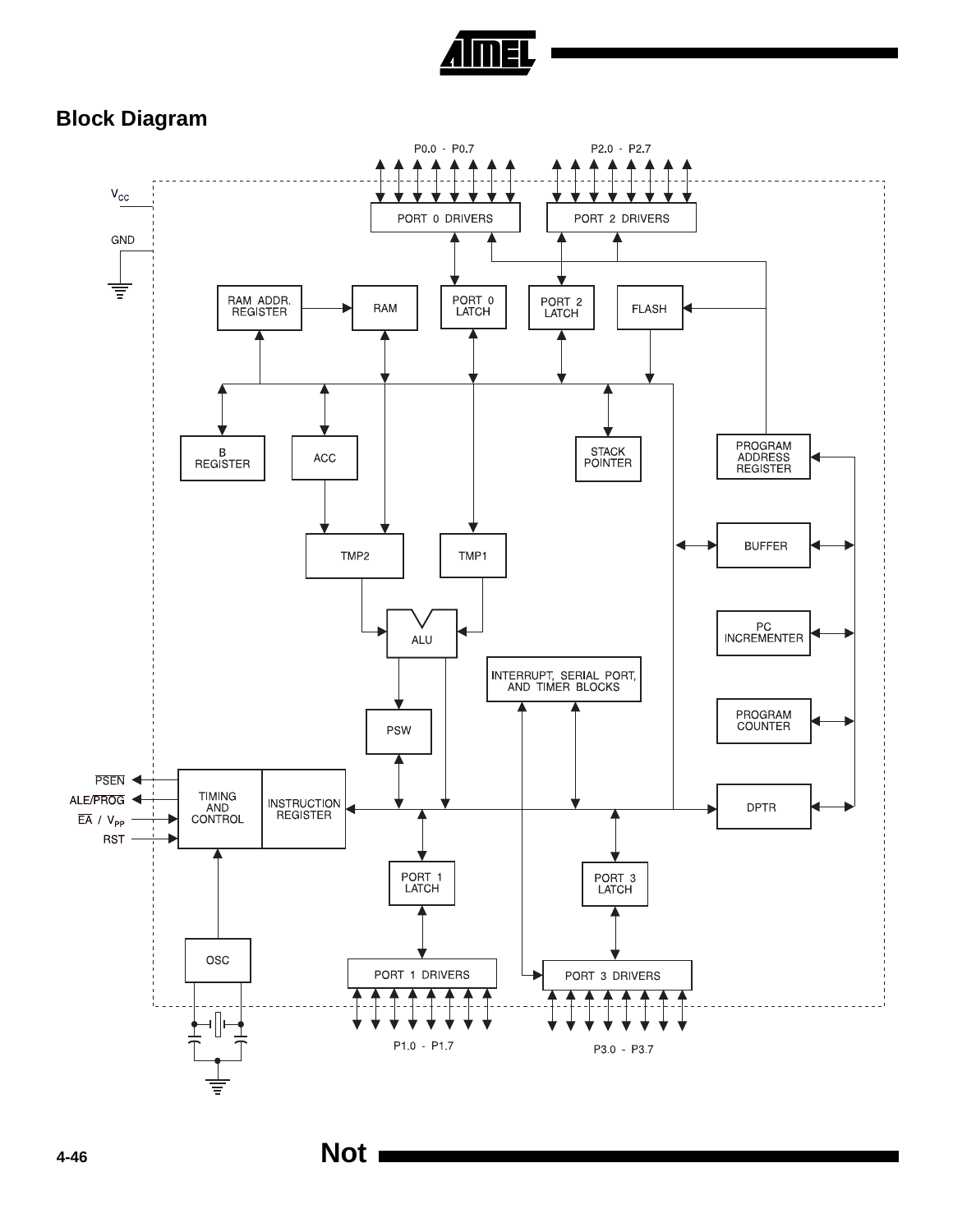

### **Block Diagram**

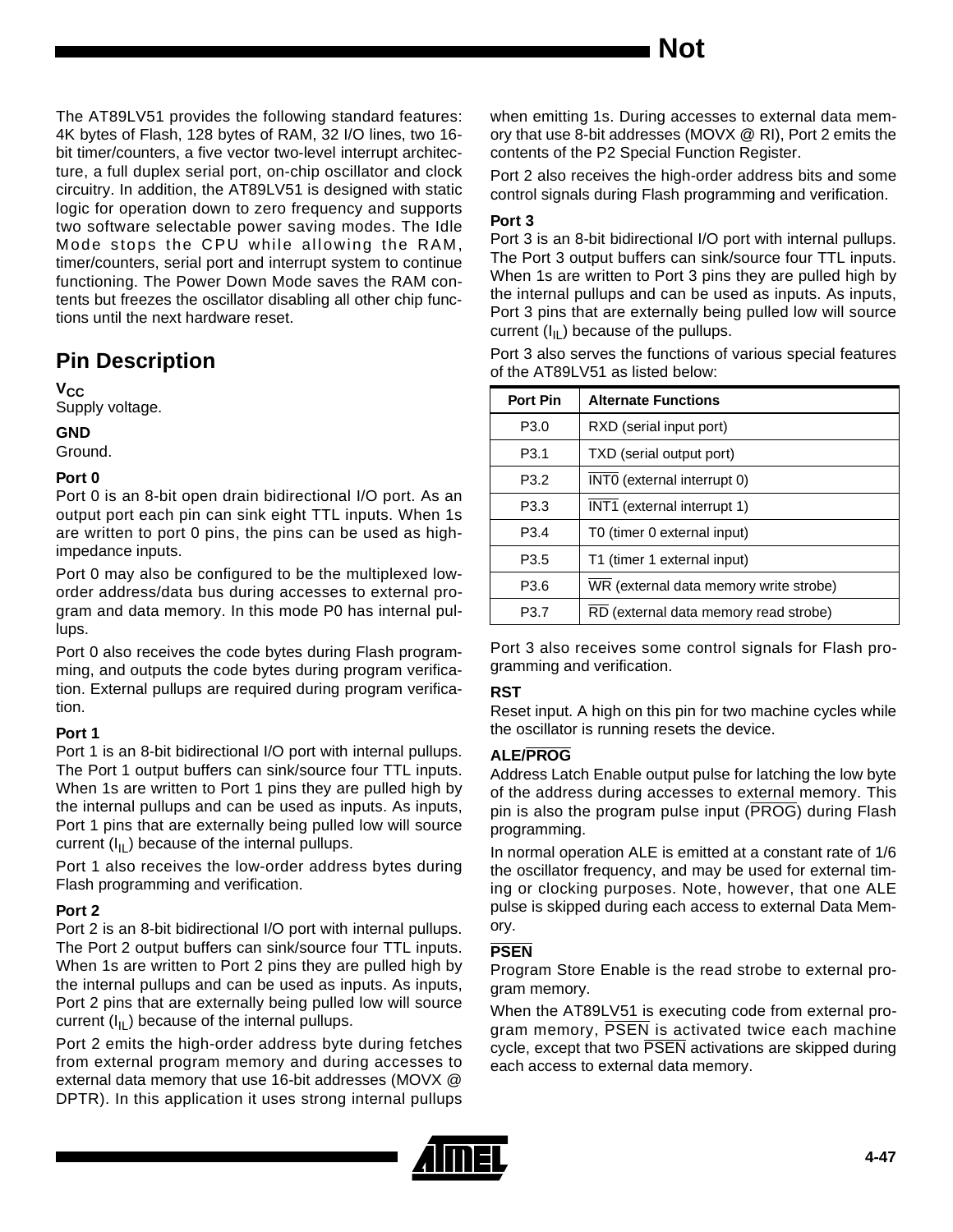

The AT89LV51 provides the following standard features: 4K bytes of Flash, 128 bytes of RAM, 32 I/O lines, two 16 bit timer/counters, a five vector two-level interrupt architecture, a full duplex serial port, on-chip oscillator and clock circuitry. In addition, the AT89LV51 is designed with static logic for operation down to zero frequency and supports two software selectable power saving modes. The Idle Mode stops the CPU while allowing the RAM, timer/counters, serial port and interrupt system to continue functioning. The Power Down Mode saves the RAM contents but freezes the oscillator disabling all other chip functions until the next hardware reset.

#### **Pin Description**

**V<sub>cc</sub>** 

Supply voltage.

**GND** Ground.

#### **Port 0**

Port 0 is an 8-bit open drain bidirectional I/O port. As an output port each pin can sink eight TTL inputs. When 1s are written to port 0 pins, the pins can be used as highimpedance inputs.

Port 0 may also be configured to be the multiplexed loworder address/data bus during accesses to external program and data memory. In this mode P0 has internal pullups.

Port 0 also receives the code bytes during Flash programming, and outputs the code bytes during program verification. External pullups are required during program verification.

#### **Port 1**

Port 1 is an 8-bit bidirectional I/O port with internal pullups. The Port 1 output buffers can sink/source four TTL inputs. When 1s are written to Port 1 pins they are pulled high by the internal pullups and can be used as inputs. As inputs, Port 1 pins that are externally being pulled low will source current  $(I<sub>H</sub>)$  because of the internal pullups.

Port 1 also receives the low-order address bytes during Flash programming and verification.

#### **Port 2**

Port 2 is an 8-bit bidirectional I/O port with internal pullups. The Port 2 output buffers can sink/source four TTL inputs. When 1s are written to Port 2 pins they are pulled high by the internal pullups and can be used as inputs. As inputs, Port 2 pins that are externally being pulled low will source current  $(I<sub>II</sub>)$  because of the internal pullups.

Port 2 emits the high-order address byte during fetches from external program memory and during accesses to external data memory that use 16-bit addresses (MOVX @ DPTR). In this application it uses strong internal pullups

when emitting 1s. During accesses to external data memory that use 8-bit addresses (MOVX @ RI), Port 2 emits the contents of the P2 Special Function Register.

Port 2 also receives the high-order address bits and some control signals during Flash programming and verification.

#### **Port 3**

Port 3 is an 8-bit bidirectional I/O port with internal pullups. The Port 3 output buffers can sink/source four TTL inputs. When 1s are written to Port 3 pins they are pulled high by the internal pullups and can be used as inputs. As inputs, Port 3 pins that are externally being pulled low will source current  $(I<sub>II</sub>)$  because of the pullups.

Port 3 also serves the functions of various special features of the AT89LV51 as listed below:

| Port Pin         | <b>Alternate Functions</b>             |
|------------------|----------------------------------------|
| P <sub>3.0</sub> | RXD (serial input port)                |
| P <sub>3.1</sub> | TXD (serial output port)               |
| P3.2             | INTO (external interrupt 0)            |
| P3.3             | INT1 (external interrupt 1)            |
| P <sub>3.4</sub> | T0 (timer 0 external input)            |
| P <sub>3.5</sub> | T1 (timer 1 external input)            |
| P <sub>3.6</sub> | WR (external data memory write strobe) |
| P3.7             | RD (external data memory read strobe)  |

Port 3 also receives some control signals for Flash programming and verification.

#### **RST**

Reset input. A high on this pin for two machine cycles while the oscillator is running resets the device.

#### **ALE/PROG**

Address Latch Enable output pulse for latching the low byte of the address during accesses to external memory. This pin is also the program pulse input (PROG) during Flash programming.

In normal operation ALE is emitted at a constant rate of 1/6 the oscillator frequency, and may be used for external timing or clocking purposes. Note, however, that one ALE pulse is skipped during each access to external Data Memory.

#### **PSEN**

Program Store Enable is the read strobe to external program memory.

When the AT89LV51 is executing code from external program memory, PSEN is activated twice each machine cycle, except that two PSEN activations are skipped during each access to external data memory.

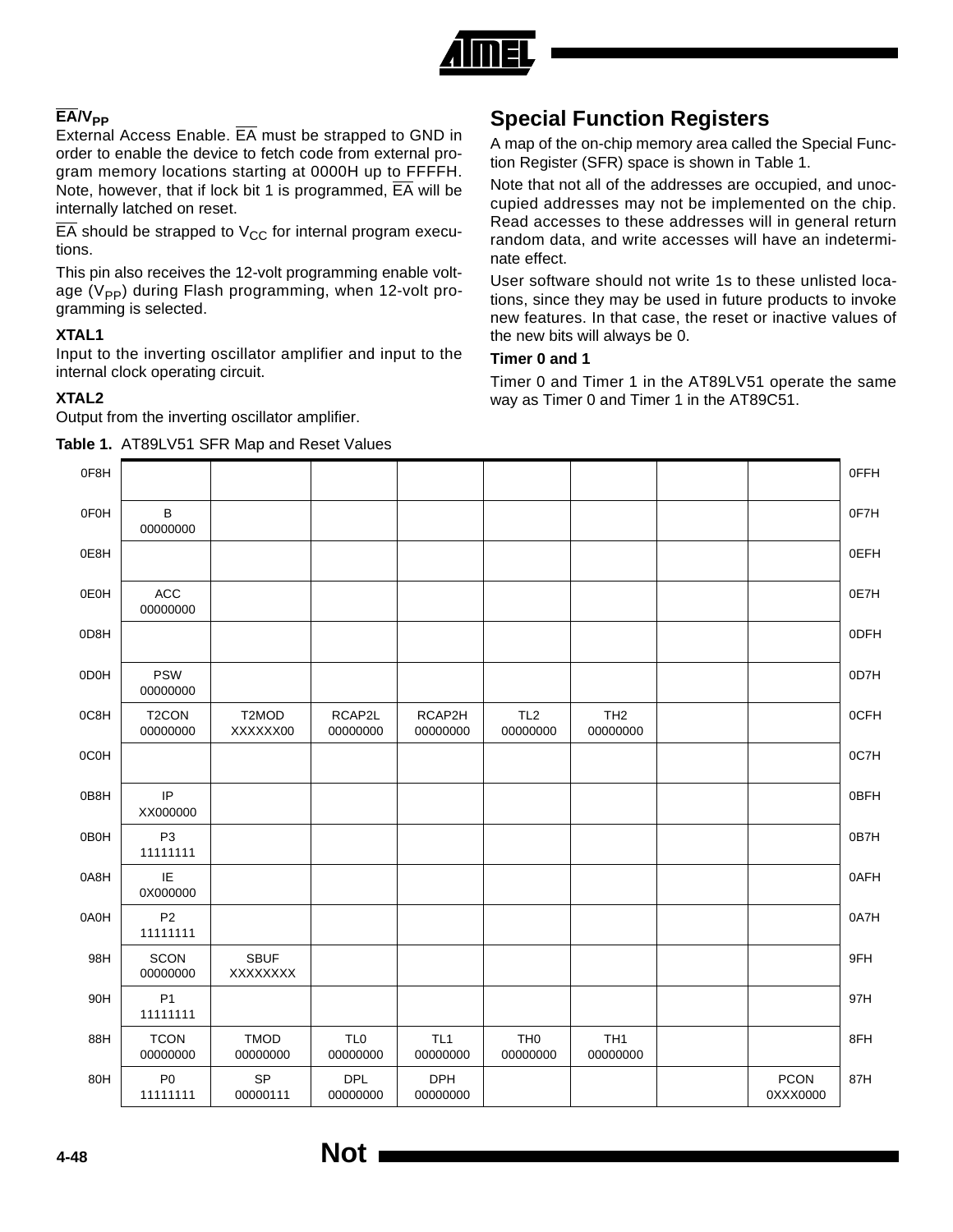

#### EA/V<sub>PP</sub>

External Access Enable.  $\overline{EA}$  must be strapped to GND in order to enable the device to fetch code from external program memory locations starting at 0000H up to FFFFH. Note, however, that if lock bit 1 is programmed, EA will be internally latched on reset.

 $\overline{EA}$  should be strapped to  $V_{CC}$  for internal program executions.

This pin also receives the 12-volt programming enable voltage ( $V_{PP}$ ) during Flash programming, when 12-volt programming is selected.

#### **XTAL1**

Input to the inverting oscillator amplifier and input to the internal clock operating circuit.

#### **XTAL2**

Output from the inverting oscillator amplifier.

#### **Table 1.** AT89LV51 SFR Map and Reset Values

#### **Special Function Registers**

A map of the on-chip memory area called the Special Function Register (SFR) space is shown in Table 1.

Note that not all of the addresses are occupied, and unoccupied addresses may not be implemented on the chip. Read accesses to these addresses will in general return random data, and write accesses will have an indeterminate effect.

User software should not write 1s to these unlisted locations, since they may be used in future products to invoke new features. In that case, the reset or inactive values of the new bits will always be 0.

#### **Timer 0 and 1**

Timer 0 and Timer 1 in the AT89LV51 operate the same way as Timer 0 and Timer 1 in the AT89C51.

| 0F8H |                                |                         |                             |                             |                             |                             |                         | 0FFH |
|------|--------------------------------|-------------------------|-----------------------------|-----------------------------|-----------------------------|-----------------------------|-------------------------|------|
| 0F0H | $\, {\bf B}$<br>00000000       |                         |                             |                             |                             |                             |                         | 0F7H |
| 0E8H |                                |                         |                             |                             |                             |                             |                         | 0EFH |
| 0E0H | ACC<br>00000000                |                         |                             |                             |                             |                             |                         | 0E7H |
| 0D8H |                                |                         |                             |                             |                             |                             |                         | 0DFH |
| 0D0H | <b>PSW</b><br>00000000         |                         |                             |                             |                             |                             |                         | 0D7H |
| 0C8H | T <sub>2</sub> CON<br>00000000 | T2MOD<br>XXXXXX00       | RCAP2L<br>00000000          | RCAP2H<br>00000000          | TL <sub>2</sub><br>00000000 | TH <sub>2</sub><br>00000000 |                         | 0CFH |
| 0C0H |                                |                         |                             |                             |                             |                             |                         | 0C7H |
| 0B8H | IP<br>XX000000                 |                         |                             |                             |                             |                             |                         | 0BFH |
| 0B0H | P <sub>3</sub><br>11111111     |                         |                             |                             |                             |                             |                         | 0B7H |
| 0A8H | IE.<br>0X000000                |                         |                             |                             |                             |                             |                         | 0AFH |
| 0A0H | P <sub>2</sub><br>11111111     |                         |                             |                             |                             |                             |                         | 0A7H |
| 98H  | <b>SCON</b><br>00000000        | <b>SBUF</b><br>XXXXXXX  |                             |                             |                             |                             |                         | 9FH  |
| 90H  | P <sub>1</sub><br>11111111     |                         |                             |                             |                             |                             |                         | 97H  |
| 88H  | <b>TCON</b><br>00000000        | <b>TMOD</b><br>00000000 | TL <sub>0</sub><br>00000000 | TL <sub>1</sub><br>00000000 | TH <sub>0</sub><br>00000000 | TH <sub>1</sub><br>00000000 |                         | 8FH  |
| 80H  | P <sub>0</sub><br>11111111     | <b>SP</b><br>00000111   | <b>DPL</b><br>00000000      | <b>DPH</b><br>00000000      |                             |                             | <b>PCON</b><br>0XXX0000 | 87H  |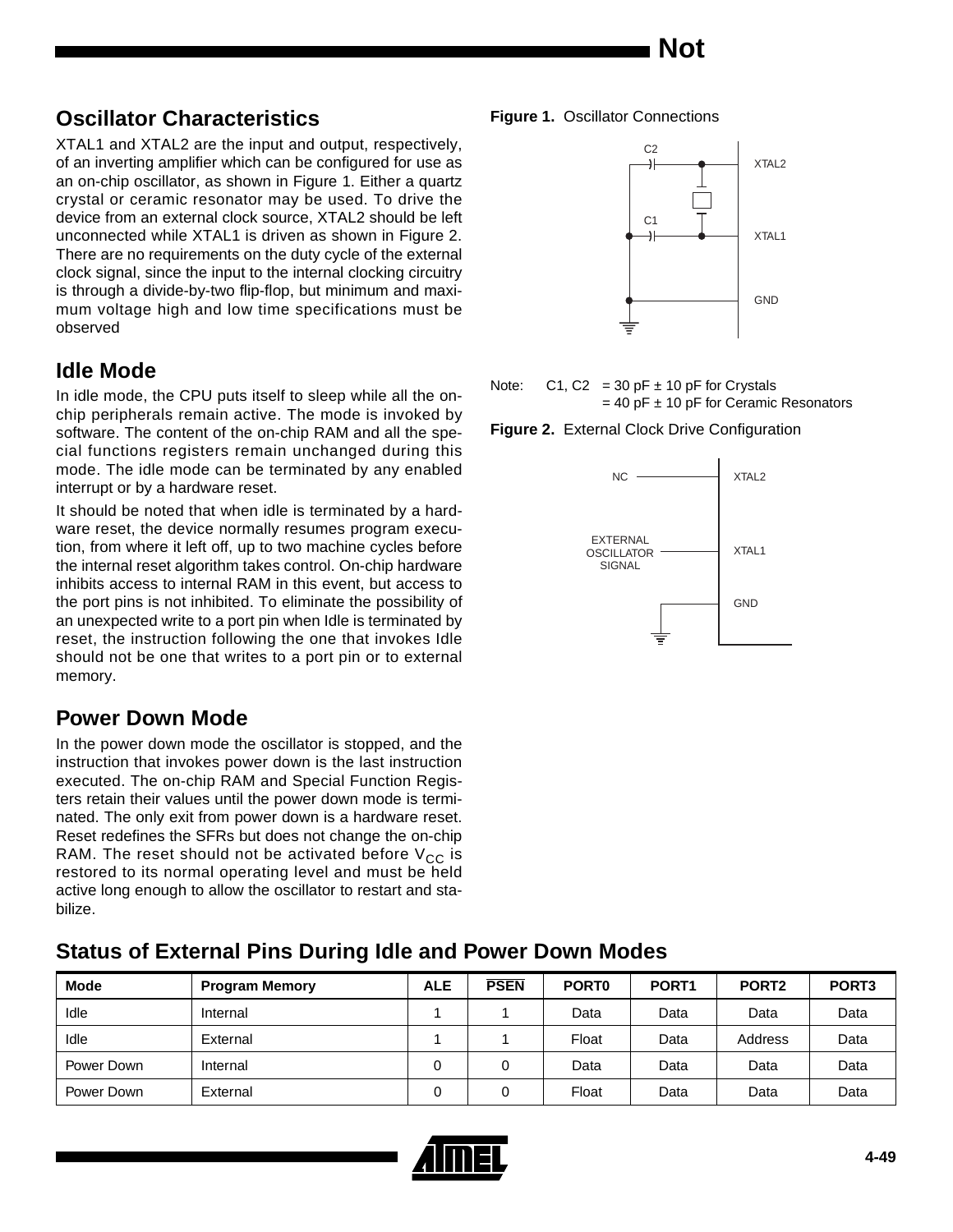

#### **Oscillator Characteristics**

XTAL1 and XTAL2 are the input and output, respectively, of an inverting amplifier which can be configured for use as an on-chip oscillator, as shown in Figure 1. Either a quartz crystal or ceramic resonator may be used. To drive the device from an external clock source, XTAL2 should be left unconnected while XTAL1 is driven as shown in Figure 2. There are no requirements on the duty cycle of the external clock signal, since the input to the internal clocking circuitry is through a divide-by-two flip-flop, but minimum and maximum voltage high and low time specifications must be observed

#### **Idle Mode**

In idle mode, the CPU puts itself to sleep while all the onchip peripherals remain active. The mode is invoked by software. The content of the on-chip RAM and all the special functions registers remain unchanged during this mode. The idle mode can be terminated by any enabled interrupt or by a hardware reset.

It should be noted that when idle is terminated by a hardware reset, the device normally resumes program execution, from where it left off, up to two machine cycles before the internal reset algorithm takes control. On-chip hardware inhibits access to internal RAM in this event, but access to the port pins is not inhibited. To eliminate the possibility of an unexpected write to a port pin when Idle is terminated by reset, the instruction following the one that invokes Idle should not be one that writes to a port pin or to external memory.

#### **Power Down Mode**

In the power down mode the oscillator is stopped, and the instruction that invokes power down is the last instruction executed. The on-chip RAM and Special Function Registers retain their values until the power down mode is terminated. The only exit from power down is a hardware reset. Reset redefines the SFRs but does not change the on-chip RAM. The reset should not be activated before  $V_{CC}$  is restored to its normal operating level and must be held active long enough to allow the oscillator to restart and stabilize.

**Figure 1.** Oscillator Connections



Note:  $C1, C2 = 30$  pF  $\pm 10$  pF for Crystals  $= 40$  pF  $\pm 10$  pF for Ceramic Resonators

**Figure 2.** External Clock Drive Configuration



#### **Status of External Pins During Idle and Power Down Modes**

| <b>Mode</b> | <b>Program Memory</b> | <b>ALE</b> | <b>PSEN</b> | PORT <sub>0</sub> | PORT <sub>1</sub> | PORT <sub>2</sub> | PORT <sub>3</sub> |
|-------------|-----------------------|------------|-------------|-------------------|-------------------|-------------------|-------------------|
| Idle        | Internal              |            |             | Data              | Data              | Data              | Data              |
| Idle        | External              |            |             | Float             | Data              | Address           | Data              |
| Power Down  | Internal              |            |             | Data              | Data              | Data              | Data              |
| Power Down  | External              |            |             | Float             | Data              | Data              | Data              |

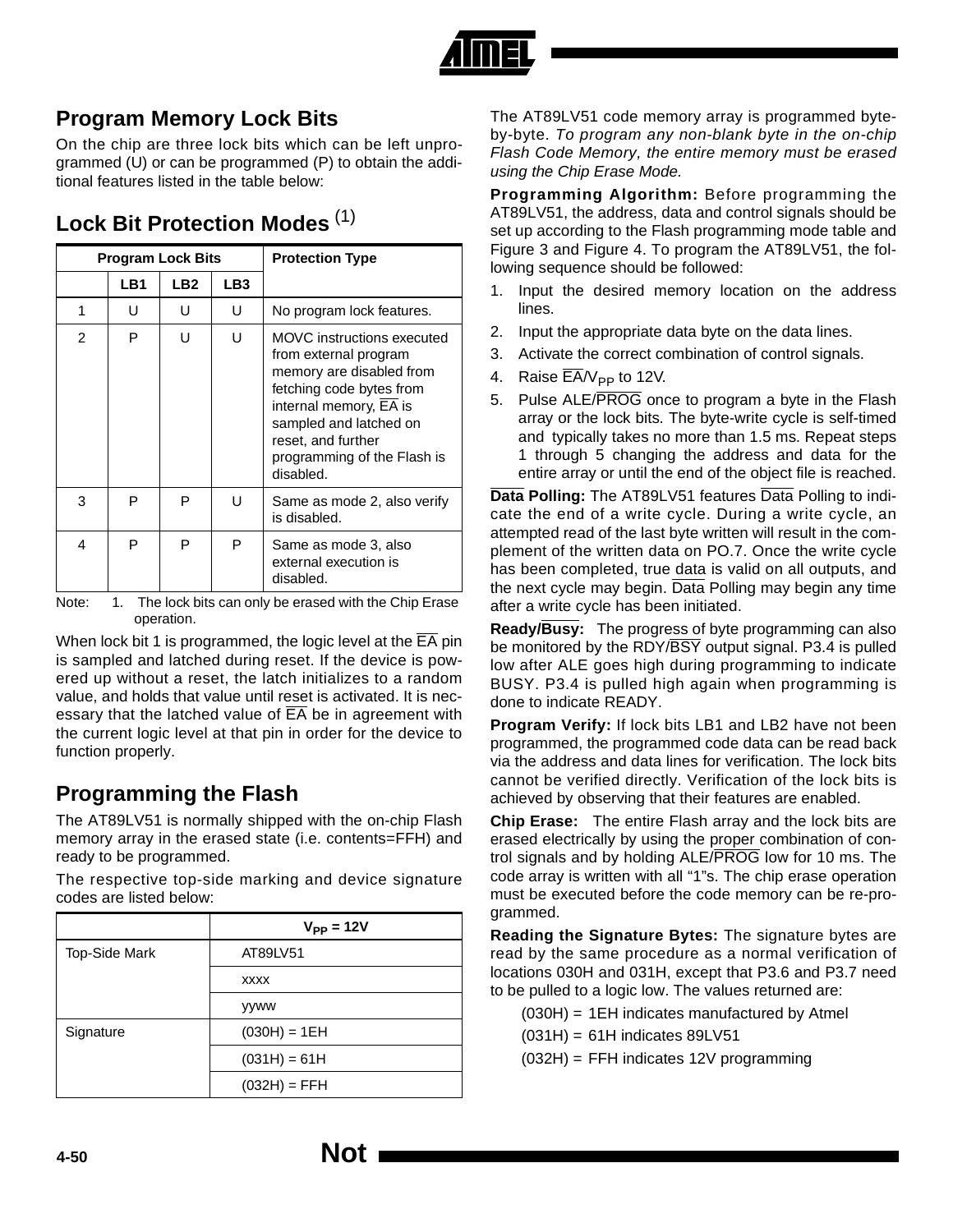

## **Program Memory Lock Bits**

On the chip are three lock bits which can be left unprogrammed (U) or can be programmed (P) to obtain the additional features listed in the table below:

#### **Lock Bit Protection Modes** (1)

|               | <b>Program Lock Bits</b> |     |                 | <b>Protection Type</b>                                                                                                                                                                                                            |
|---------------|--------------------------|-----|-----------------|-----------------------------------------------------------------------------------------------------------------------------------------------------------------------------------------------------------------------------------|
|               | LB1                      | LB2 | LB <sub>3</sub> |                                                                                                                                                                                                                                   |
| 1             | U                        | U   | u               | No program lock features.                                                                                                                                                                                                         |
| $\mathcal{P}$ | P                        | Ħ   | Ħ               | MOVC instructions executed<br>from external program<br>memory are disabled from<br>fetching code bytes from<br>internal memory, EA is<br>sampled and latched on<br>reset, and further<br>programming of the Flash is<br>disabled. |
| 3             | Р                        | P   | п               | Same as mode 2, also verify<br>is disabled.                                                                                                                                                                                       |
| 4             | P                        | P   | P               | Same as mode 3, also<br>external execution is<br>disabled.                                                                                                                                                                        |

Note: 1. The lock bits can only be erased with the Chip Erase operation.

When lock bit 1 is programmed, the logic level at the  $\overline{EA}$  pin is sampled and latched during reset. If the device is powered up without a reset, the latch initializes to a random value, and holds that value until reset is activated. It is necessary that the latched value of  $\overline{EA}$  be in agreement with the current logic level at that pin in order for the device to function properly.

## **Programming the Flash**

The AT89LV51 is normally shipped with the on-chip Flash memory array in the erased state (i.e. contents=FFH) and ready to be programmed.

The respective top-side marking and device signature codes are listed below:

|               | $V_{PP} = 12V$ |
|---------------|----------------|
| Top-Side Mark | AT89LV51       |
|               | <b>XXXX</b>    |
|               | <b>VYWW</b>    |
| Signature     | $(030H) = 1EH$ |
|               | $(031H) = 61H$ |
|               | $(032H) = FFH$ |

The AT89LV51 code memory array is programmed byteby-byte. To program any non-blank byte in the on-chip Flash Code Memory, the entire memory must be erased using the Chip Erase Mode.

**Programming Algorithm:** Before programming the AT89LV51, the address, data and control signals should be set up according to the Flash programming mode table and Figure 3 and Figure 4. To program the AT89LV51, the following sequence should be followed:

- 1. Input the desired memory location on the address lines.
- 2. Input the appropriate data byte on the data lines.
- 3. Activate the correct combination of control signals.
- 4. Raise  $\overline{\mathsf{EA}}/\mathsf{V}_{\mathsf{PP}}$  to 12V.
- 5. Pulse ALE/PROG once to program a byte in the Flash array or the lock bits. The byte-write cycle is self-timed and typically takes no more than 1.5 ms. Repeat steps 1 through 5 changing the address and data for the entire array or until the end of the object file is reached.

**Data Polling:** The AT89LV51 features Data Polling to indicate the end of a write cycle. During a write cycle, an attempted read of the last byte written will result in the complement of the written data on PO.7. Once the write cycle has been completed, true data is valid on all outputs, and the next cycle may begin. Data Polling may begin any time after a write cycle has been initiated.

**Ready/Busy:** The progress of byte programming can also be monitored by the RDY/BSY output signal. P3.4 is pulled low after ALE goes high during programming to indicate BUSY. P3.4 is pulled high again when programming is done to indicate READY.

**Program Verify:** If lock bits LB1 and LB2 have not been programmed, the programmed code data can be read back via the address and data lines for verification. The lock bits cannot be verified directly. Verification of the lock bits is achieved by observing that their features are enabled.

**Chip Erase:** The entire Flash array and the lock bits are erased electrically by using the proper combination of control signals and by holding ALE/PROG low for 10 ms. The code array is written with all "1"s. The chip erase operation must be executed before the code memory can be re-programmed.

**Reading the Signature Bytes:** The signature bytes are read by the same procedure as a normal verification of locations 030H and 031H, except that P3.6 and P3.7 need to be pulled to a logic low. The values returned are:

(030H) = 1EH indicates manufactured by Atmel

(031H) = 61H indicates 89LV51

(032H) = FFH indicates 12V programming

**4-50 Not**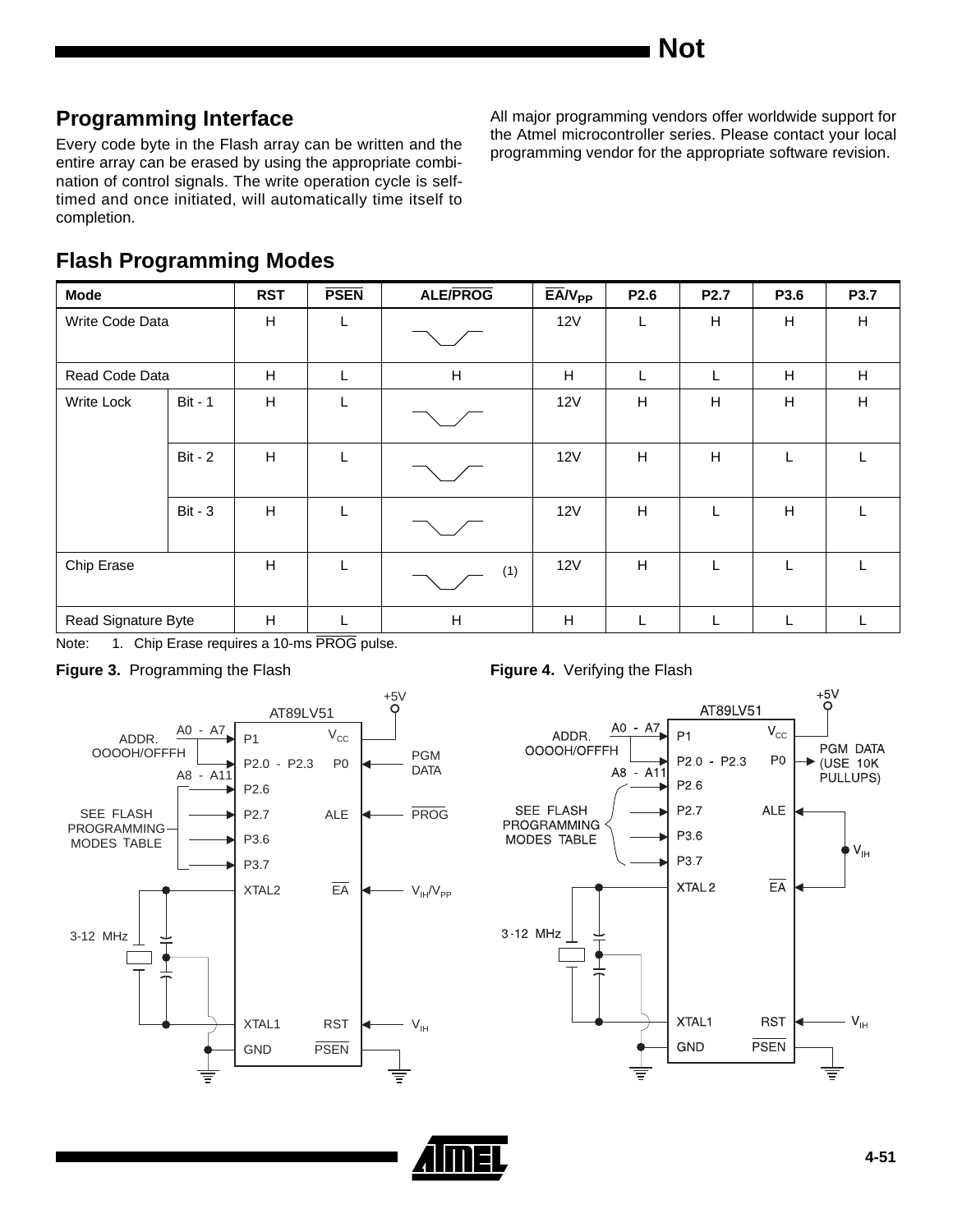## **Not**

## **Programming Interface**

Every code byte in the Flash array can be written and the entire array can be erased by using the appropriate combination of control signals. The write operation cycle is selftimed and once initiated, will automatically time itself to completion.

All major programming vendors offer worldwide support for the Atmel microcontroller series. Please contact your local programming vendor for the appropriate software revision.

## **Flash Programming Modes**

| <b>Mode</b>                         |                | <b>RST</b>                | <b>PSEN</b>    | ALE/PROG                                                    | $EAV_{PP}$ | P <sub>2.6</sub>          | P <sub>2.7</sub> | P3.6 | P3.7                      |
|-------------------------------------|----------------|---------------------------|----------------|-------------------------------------------------------------|------------|---------------------------|------------------|------|---------------------------|
| Write Code Data                     |                | H                         | L.             |                                                             | <b>12V</b> |                           | H                | H    | H                         |
| Read Code Data                      |                | H                         | L              | $\mathsf{H}% _{\mathbb{R}}^{1}\left( \mathbb{R}^{2}\right)$ | H          |                           | L                | H    | H                         |
| Write Lock                          | <b>Bit - 1</b> | H                         | L              |                                                             | 12V        | $\boldsymbol{\mathsf{H}}$ | H                | H    | $\boldsymbol{\mathsf{H}}$ |
|                                     | $Bit - 2$      | H                         | L              |                                                             | 12V        | H                         | Н                |      |                           |
|                                     | <b>Bit - 3</b> | H                         | L              |                                                             | 12V        | $\boldsymbol{\mathsf{H}}$ |                  | H    | L                         |
| Chip Erase                          |                | H                         | L              | (1)                                                         | 12V        | H                         | L                |      | L                         |
| Read Signature Byte<br>$\mathbf{r}$ |                | H<br>$\sim$ $\sim$ $\sim$ | $\overline{R}$ | H                                                           | H          |                           |                  |      |                           |

Note: 1. Chip Erase requires a 10-ms PROG pulse.

#### **Figure 3.** Programming the Flash **Figure 4.** Verifying the Flash





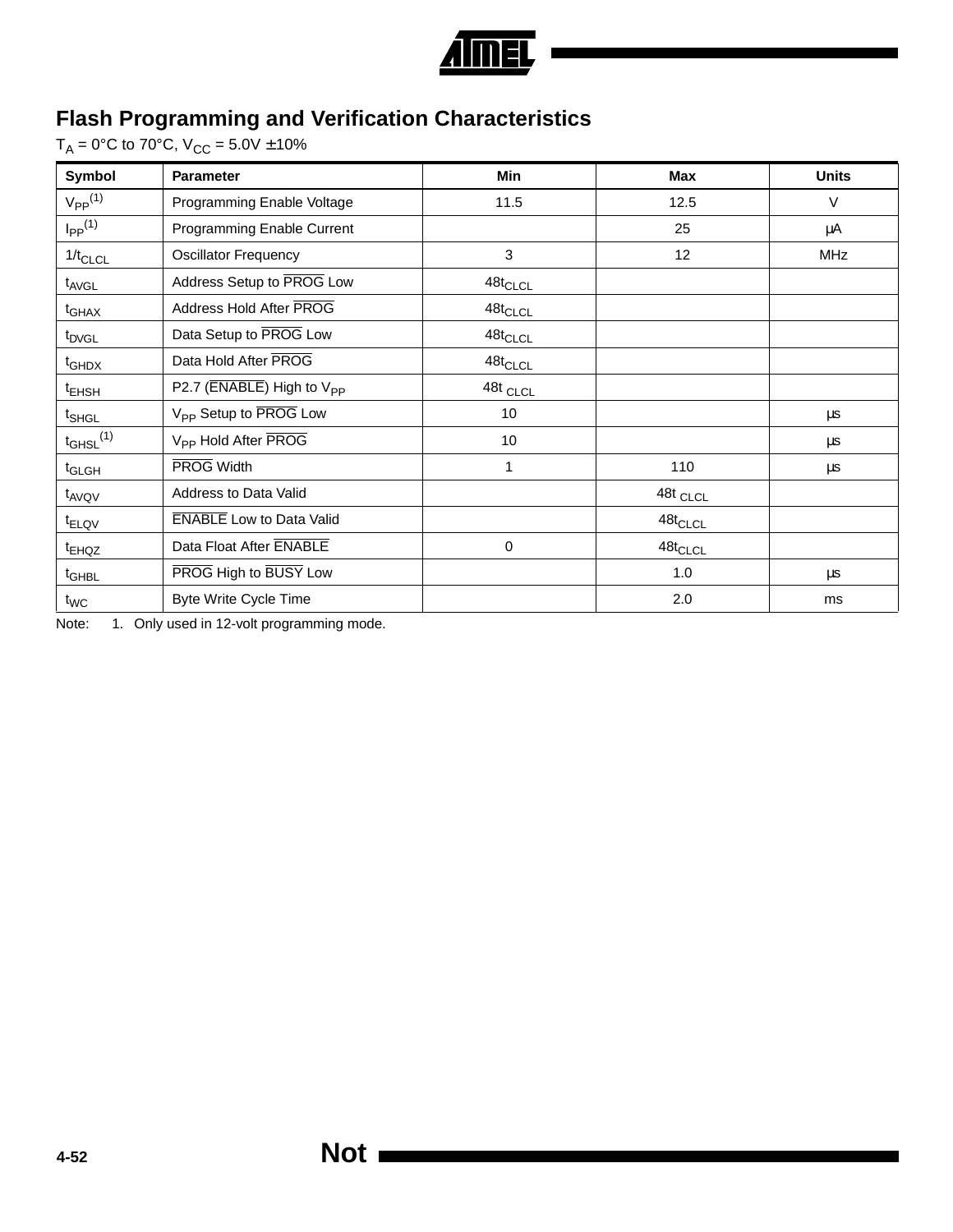

# **Flash Programming and Verification Characteristics**

 $T_A = 0$ °C to 70°C, V<sub>CC</sub> = 5.0V ± 10%

| Symbol                  | <b>Parameter</b>                                            | Min          | <b>Max</b>          | <b>Units</b> |
|-------------------------|-------------------------------------------------------------|--------------|---------------------|--------------|
| $V_{PP}$ <sup>(1)</sup> | Programming Enable Voltage                                  | 11.5         | 12.5                | $\vee$       |
| $I_{PP}$ <sup>(1)</sup> | Programming Enable Current                                  |              | 25                  | μA           |
| $1/t_{CLCL}$            | <b>Oscillator Frequency</b>                                 | 3            | 12 <sub>2</sub>     | <b>MHz</b>   |
| t <sub>AVGL</sub>       | Address Setup to PROG Low                                   | $48t_{CLCL}$ |                     |              |
| $t_{GHAX}$              | Address Hold After PROG                                     | $48t_{CLCL}$ |                     |              |
| t <sub>DVGL</sub>       | Data Setup to PROG Low                                      | $48t_{CLCL}$ |                     |              |
| t <sub>GHDX</sub>       | Data Hold After PROG                                        | $48t_{CLCL}$ |                     |              |
| <sup>t</sup> EHSH       | P2.7 ( $\overline{\text{ENABLE}}$ ) High to $V_{\text{PP}}$ | $48t$ CLCL   |                     |              |
| t <sub>SHGL</sub>       | V <sub>PP</sub> Setup to PROG Low                           | 10           |                     | μs           |
| $t_{\text{GHSL}}^{(1)}$ | V <sub>PP</sub> Hold After PROG                             | 10           |                     | μs           |
| t <sub>GLGH</sub>       | <b>PROG Width</b>                                           | 1            | 110                 | μs           |
| t <sub>AVQV</sub>       | Address to Data Valid                                       |              | 48t CLCL            |              |
| t <sub>ELQV</sub>       | <b>ENABLE</b> Low to Data Valid                             |              | 48t <sub>CLCL</sub> |              |
| t <sub>EHQZ</sub>       | Data Float After ENABLE                                     | 0            | $48t_{CLCL}$        |              |
| <sup>t</sup> GHBL       | PROG High to BUSY Low                                       |              | 1.0                 | μs           |
| $t_{\text{WC}}$         | <b>Byte Write Cycle Time</b>                                |              | 2.0                 | ms           |

Note: 1. Only used in 12-volt programming mode.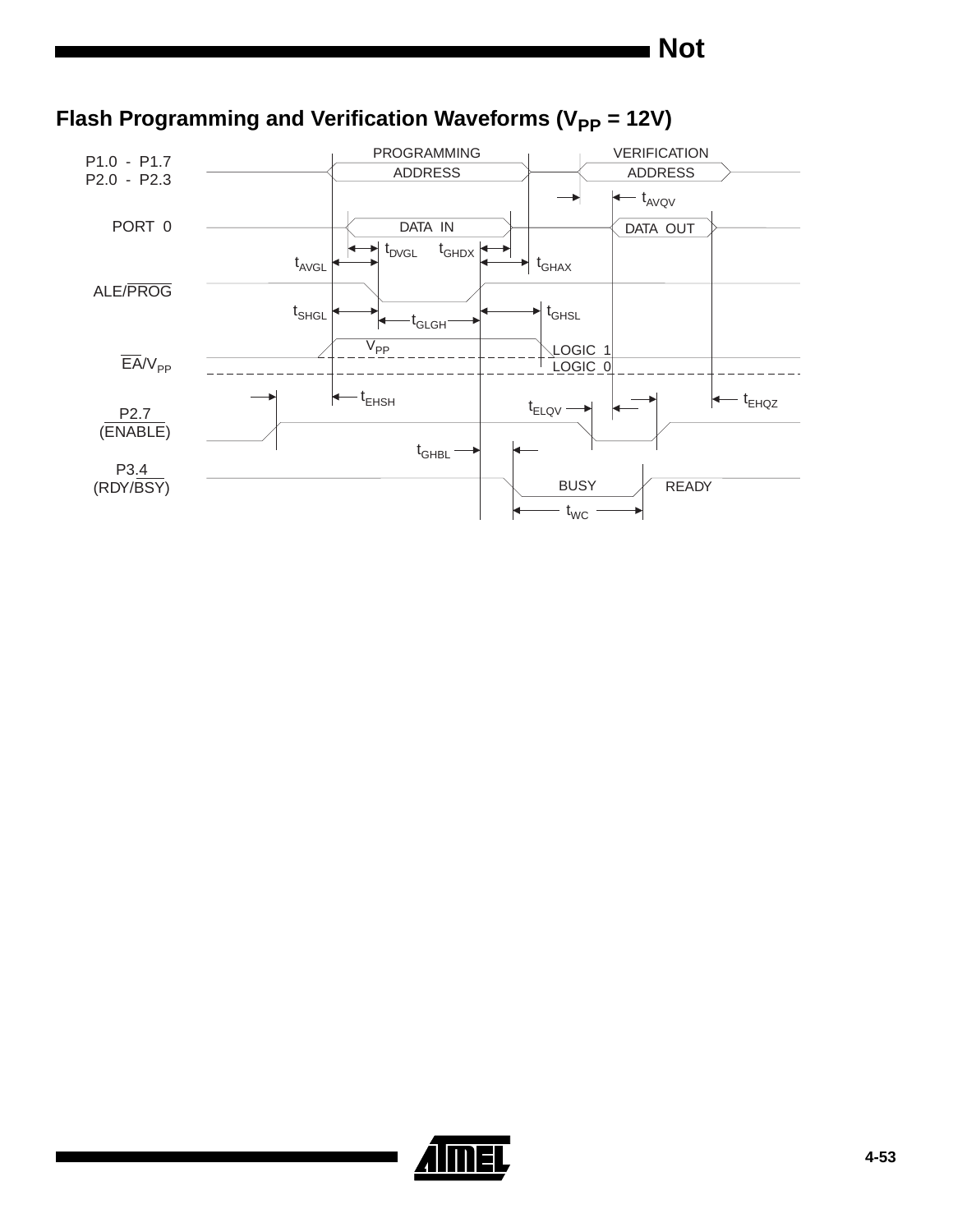

**Not** 

## Flash Programming and Verification Waveforms (V<sub>PP</sub> = 12V)

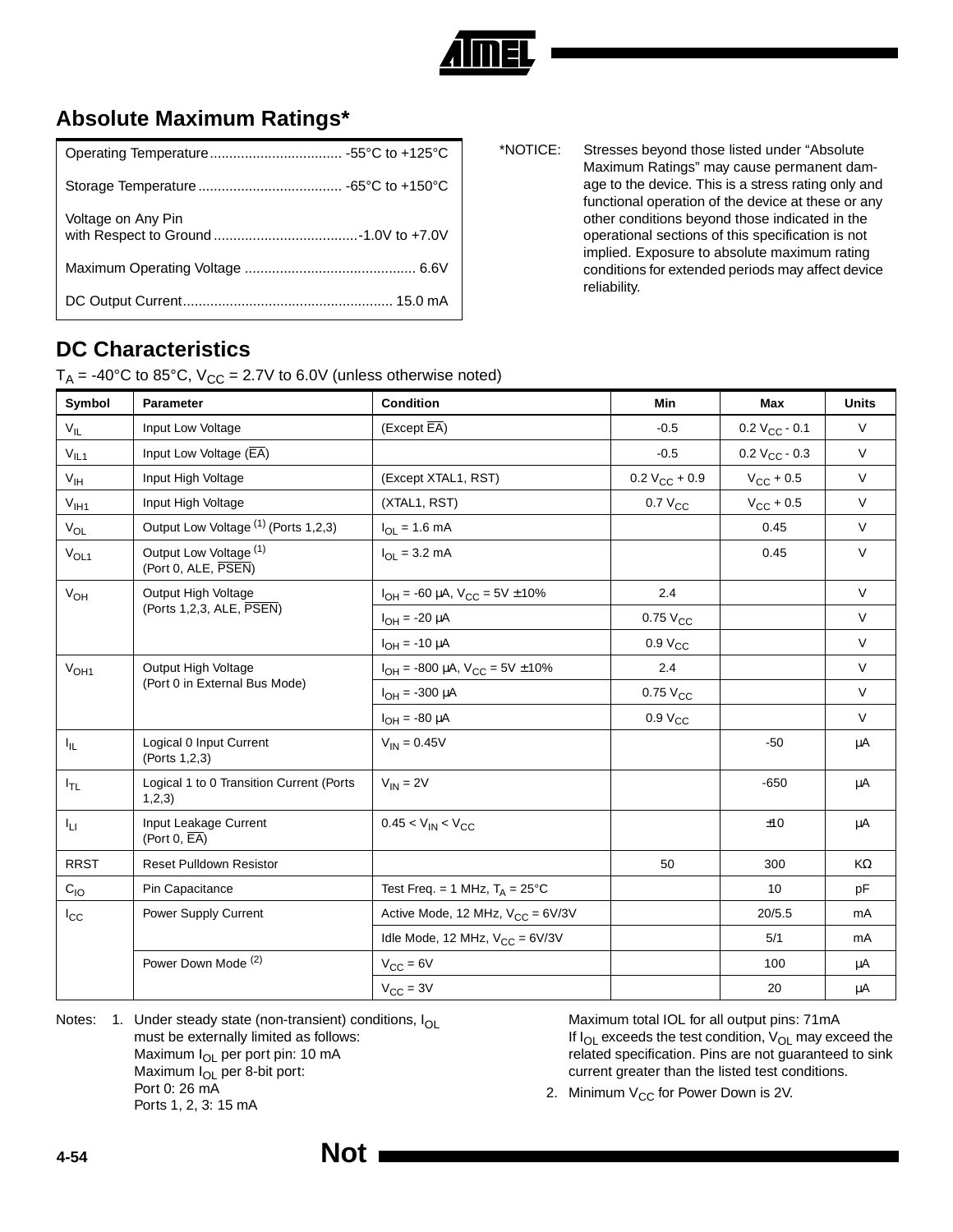

## **Absolute Maximum Ratings\***

| Voltage on Any Pin |
|--------------------|
|                    |
|                    |

\*NOTICE: Stresses beyond those listed under "Absolute Maximum Ratings" may cause permanent damage to the device. This is a stress rating only and functional operation of the device at these or any other conditions beyond those indicated in the operational sections of this specification is not implied. Exposure to absolute maximum rating conditions for extended periods may affect device reliability.

#### **DC Characteristics**

 $T_A = -40^{\circ}$ C to 85°C,  $V_{C}C = 2.7V$  to 6.0V (unless otherwise noted)

| Symbol           | <b>Parameter</b>                                            | <b>Condition</b>                         | Min                    | <b>Max</b>         | <b>Units</b> |
|------------------|-------------------------------------------------------------|------------------------------------------|------------------------|--------------------|--------------|
| $V_{IL}$         | Input Low Voltage                                           | (Except EA)                              | $-0.5$                 | $0.2 V_{CC} - 0.1$ | $\vee$       |
| $V_{IL1}$        | Input Low Voltage (EA)                                      |                                          | $-0.5$                 | $0.2 V_{CC} - 0.3$ | $\vee$       |
| $V_{\text{IH}}$  | Input High Voltage                                          | (Except XTAL1, RST)                      | $0.2 V_{CC} + 0.9$     | $V_{CC}$ + 0.5     | $\vee$       |
| V <sub>IH1</sub> | Input High Voltage                                          | (XTAL1, RST)                             | $0.7 V_{CC}$           | $V_{CC}$ + 0.5     | $\vee$       |
| $V_{OL}$         | Output Low Voltage (1) (Ports 1,2,3)                        | $I_{OL} = 1.6$ mA                        |                        | 0.45               | $\vee$       |
| V <sub>OL1</sub> | Output Low Voltage (1)<br>(Port 0, ALE, PSEN)               | $I_{OL} = 3.2$ mA                        |                        | 0.45               | $\vee$       |
| $V_{OH}$         | Output High Voltage                                         | $I_{OH}$ = -60 µA, $V_{CC}$ = 5V ± 10%   | 2.4                    |                    | $\vee$       |
|                  | (Ports 1,2,3, ALE, PSEN)                                    | $I_{OH}$ = -20 $\mu$ A                   | $0.75$ V <sub>CC</sub> |                    | $\vee$       |
|                  |                                                             | $I_{OH} = -10 \mu A$                     | 0.9 V <sub>CC</sub>    |                    | $\vee$       |
| V <sub>OH1</sub> | <b>Output High Voltage</b><br>(Port 0 in External Bus Mode) | $I_{OH}$ = -800 µA, $V_{CC}$ = 5V ± 10%  | 2.4                    |                    | $\vee$       |
|                  |                                                             | $I_{OH} = -300 \mu A$                    | $0.75V_{CC}$           |                    | $\vee$       |
|                  |                                                             | $I_{OH} = -80 \mu A$                     | 0.9 V <sub>CC</sub>    |                    | $\vee$       |
| $I_{\rm IL}$     | Logical 0 Input Current<br>(Ports 1,2,3)                    | $V_{IN} = 0.45V$                         |                        | $-50$              | μA           |
| $I_{TL}$         | Logical 1 to 0 Transition Current (Ports<br>1, 2, 3)        | $V_{IN} = 2V$                            |                        | $-650$             | μA           |
| $I_{LI}$         | Input Leakage Current<br>(Port 0, $\overline{EA}$ )         | $0.45 < V_{IN} < V_{CC}$                 |                        | ±10                | μA           |
| <b>RRST</b>      | <b>Reset Pulldown Resistor</b>                              |                                          | 50                     | 300                | KΩ           |
| $C_{10}$         | Pin Capacitance                                             | Test Freq. = 1 MHz, $T_A = 25^{\circ}$ C |                        | 10                 | pF           |
| $I_{\rm CC}$     | Power Supply Current                                        | Active Mode, 12 MHz, $V_{CC} = 6V/3V$    |                        | 20/5.5             | mA           |
|                  |                                                             | Idle Mode, 12 MHz, $V_{CC} = 6V/3V$      |                        | 5/1                | mA           |
|                  | Power Down Mode <sup>(2)</sup>                              | $V_{CC} = 6V$                            |                        | 100                | μA           |
|                  |                                                             | $V_{CC} = 3V$                            |                        | 20                 | μA           |

Notes: 1. Under steady state (non-transient) conditions,  $I_{\Omega}$ must be externally limited as follows: Maximum I<sub>OL</sub> per port pin: 10 mA Maximum I<sub>OL</sub> per 8-bit port: Port 0: 26 mA Ports 1, 2, 3: 15 mA

Maximum total IOL for all output pins: 71mA If  $I_{\text{O}}$  exceeds the test condition,  $V_{\text{O}}$  may exceed the related specification. Pins are not guaranteed to sink current greater than the listed test conditions.

2. Minimum  $V_{CC}$  for Power Down is 2V.

**4-54 Not**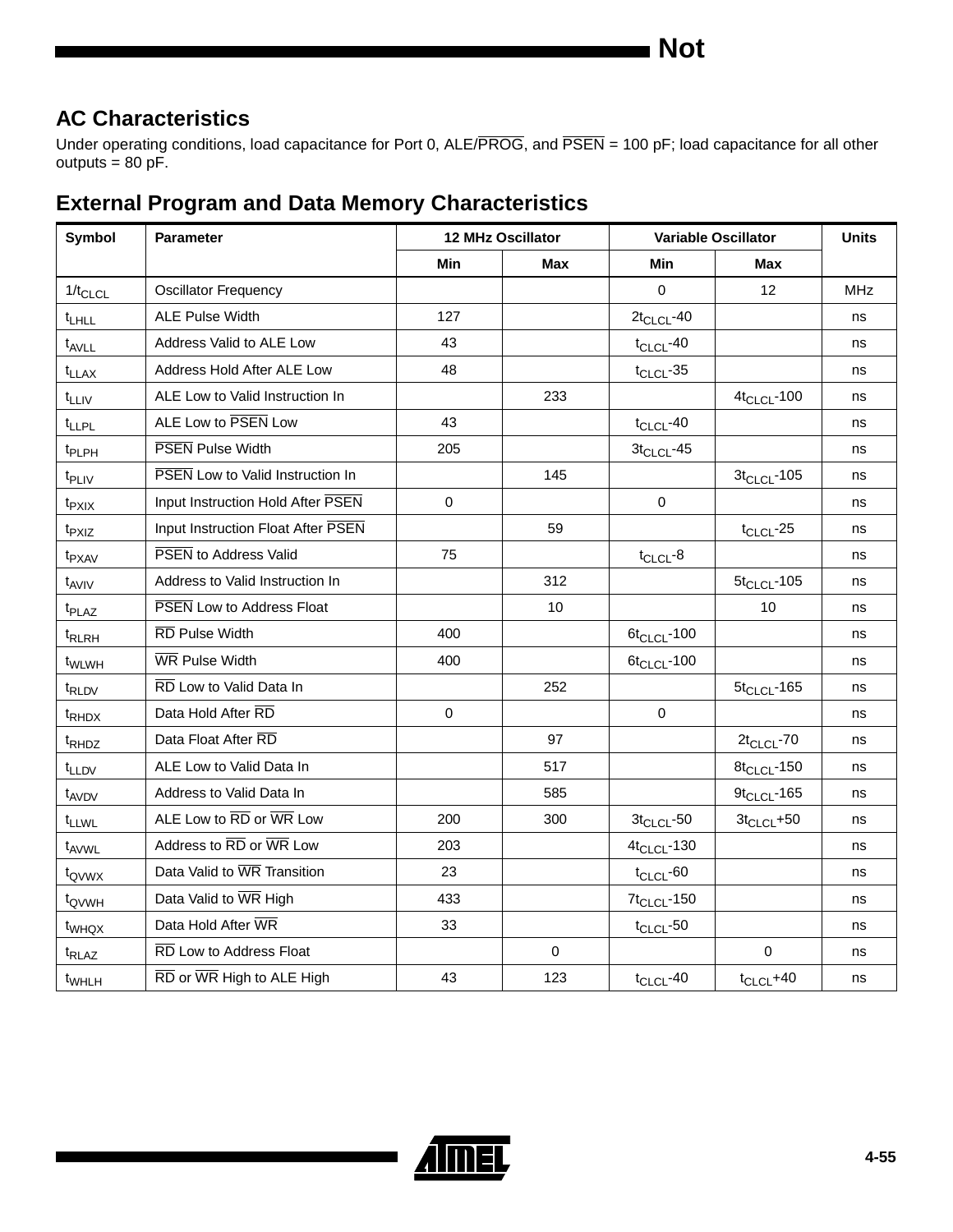### **AC Characteristics**

Under operating conditions, load capacitance for Port 0, ALE/PROG, and PSEN = 100 pF; load capacitance for all other outputs  $= 80$  pF.

**Not** 

| <b>Symbol</b>     | <b>Parameter</b>                                                |             | <b>12 MHz Oscillator</b> | <b>Variable Oscillator</b> | <b>Units</b>     |            |
|-------------------|-----------------------------------------------------------------|-------------|--------------------------|----------------------------|------------------|------------|
|                   |                                                                 | Min         | Max                      | Min                        | <b>Max</b>       |            |
| $1/t_{CLCL}$      | <b>Oscillator Frequency</b>                                     |             |                          | 0                          | 12               | <b>MHz</b> |
| t <sub>LHLL</sub> | <b>ALE Pulse Width</b>                                          | 127         |                          | $2t_{CLCL}$ -40            |                  | ns         |
| $t_{AVLL}$        | Address Valid to ALE Low                                        | 43          |                          | $t_{CLCL}$ -40             |                  | ns         |
| t <sub>LLAX</sub> | Address Hold After ALE Low                                      | 48          |                          | $t_{CLCL}$ -35             |                  | ns         |
| t <sub>LLIV</sub> | ALE Low to Valid Instruction In                                 |             | 233                      |                            | $4t_{CLCL}$ -100 | ns         |
| t <sub>LLPL</sub> | ALE Low to PSEN Low                                             | 43          |                          | $t_{CLCL}$ -40             |                  | ns         |
| t <sub>PLPH</sub> | <b>PSEN Pulse Width</b>                                         | 205         |                          | $3t_{CLCL}$ -45            |                  | ns         |
| t <sub>PLIV</sub> | <b>PSEN</b> Low to Valid Instruction In                         |             | 145                      |                            | $3t_{CLCL}$ -105 | ns         |
| t <sub>PXIX</sub> | Input Instruction Hold After PSEN                               | $\mathbf 0$ |                          | $\Omega$                   |                  | ns         |
| t <sub>PXIZ</sub> | Input Instruction Float After PSEN                              |             | 59                       |                            | $t_{CLCL}$ -25   | ns         |
| <sup>t</sup> PXAV | <b>PSEN</b> to Address Valid                                    | 75          |                          | $t_{CLCL}$ -8              |                  | ns         |
| t <sub>AVIV</sub> | Address to Valid Instruction In                                 |             | 312                      |                            | $5t_{CLCL}$ -105 | ns         |
| t <sub>PLAZ</sub> | <b>PSEN Low to Address Float</b>                                |             | 10                       |                            | 10               | ns         |
| t <sub>RLRH</sub> | <b>RD</b> Pulse Width                                           | 400         |                          | $6t_{CLCL}$ -100           |                  | ns         |
| t <sub>WLWH</sub> | <b>WR</b> Pulse Width                                           | 400         |                          | $6t_{CLCL}$ -100           |                  | ns         |
| t <sub>RLDV</sub> | RD Low to Valid Data In                                         |             | 252                      |                            | $5t_{CLCL}$ -165 | ns         |
| t <sub>RHDX</sub> | Data Hold After RD                                              | $\pmb{0}$   |                          | $\mathbf 0$                |                  | ns         |
| <sup>t</sup> RHDZ | Data Float After RD                                             |             | 97                       |                            | $2t_{CLCL}$ -70  | ns         |
| t <sub>LLDV</sub> | ALE Low to Valid Data In                                        |             | 517                      |                            | $8t_{CLCL}$ -150 | ns         |
| t <sub>AVDV</sub> | Address to Valid Data In                                        |             | 585                      |                            | $9t_{CLCL}$ -165 | ns         |
| t <sub>LLWL</sub> | ALE Low to $\overline{\text{RD}}$ or $\overline{\text{WR}}$ Low | 200         | 300                      | $3t_{CLCL}$ -50            | $3t_{CLCL} + 50$ | ns         |
| t <sub>AVWL</sub> | Address to RD or WR Low                                         | 203         |                          | $4t_{CLCL}$ -130           |                  | ns         |
| t <sub>QVWX</sub> | Data Valid to WR Transition                                     | 23          |                          | $t_{CLCL}$ -60             |                  | ns         |
| t <sub>QVWH</sub> | Data Valid to WR High                                           | 433         |                          | 7t <sub>CLCL</sub> -150    |                  | ns         |
| t <sub>WHQX</sub> | Data Hold After WR                                              | 33          |                          | $t_{CLCL}$ -50             |                  | ns         |
| t <sub>RLAZ</sub> | RD Low to Address Float                                         |             | 0                        |                            | 0                | ns         |
| t <sub>WHLH</sub> | RD or WR High to ALE High                                       | 43          | 123                      | $t_{CLCL}$ -40             | $t_{CLCL} + 40$  | ns         |

#### **External Program and Data Memory Characteristics**

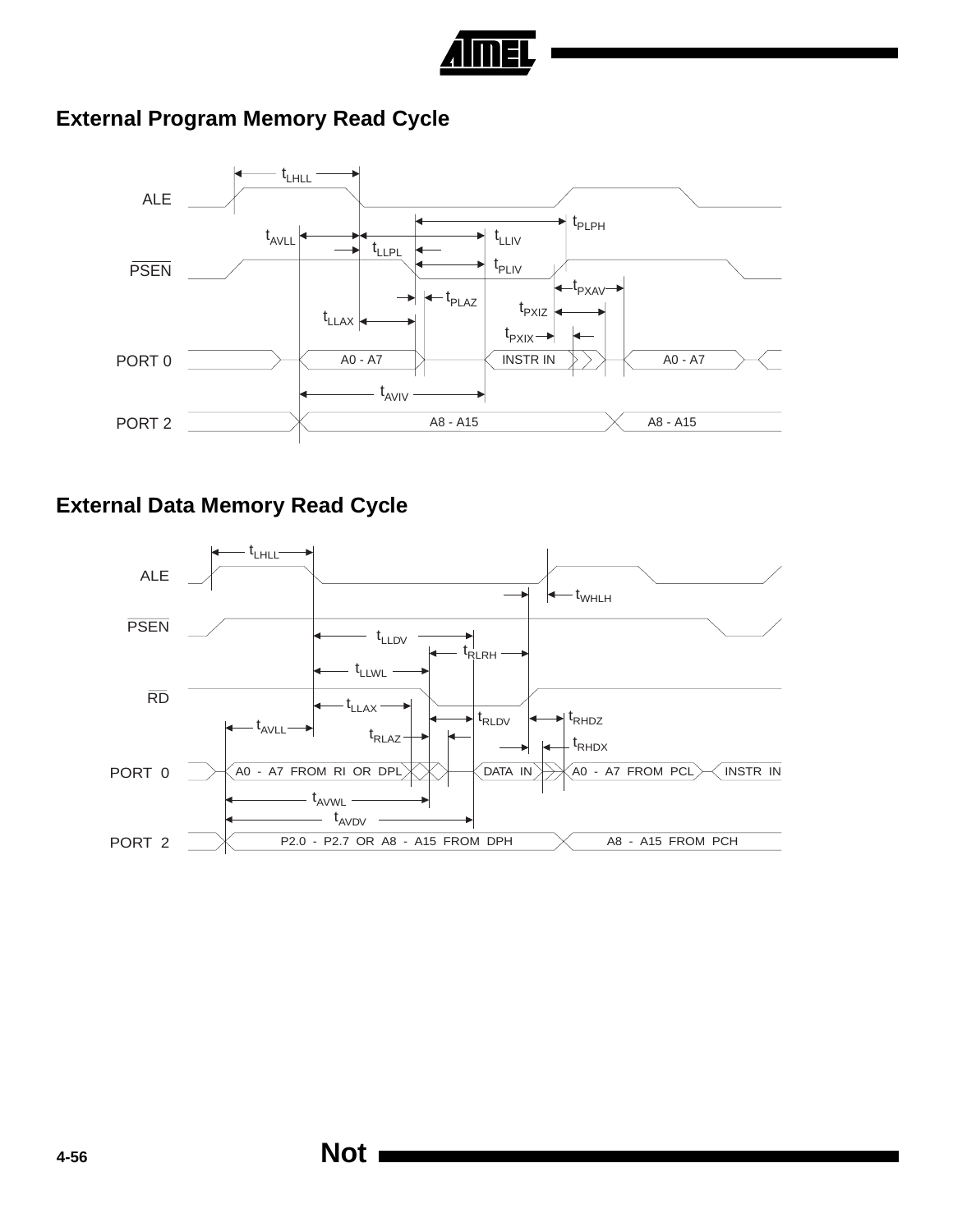

## **External Program Memory Read Cycle**



## **External Data Memory Read Cycle**

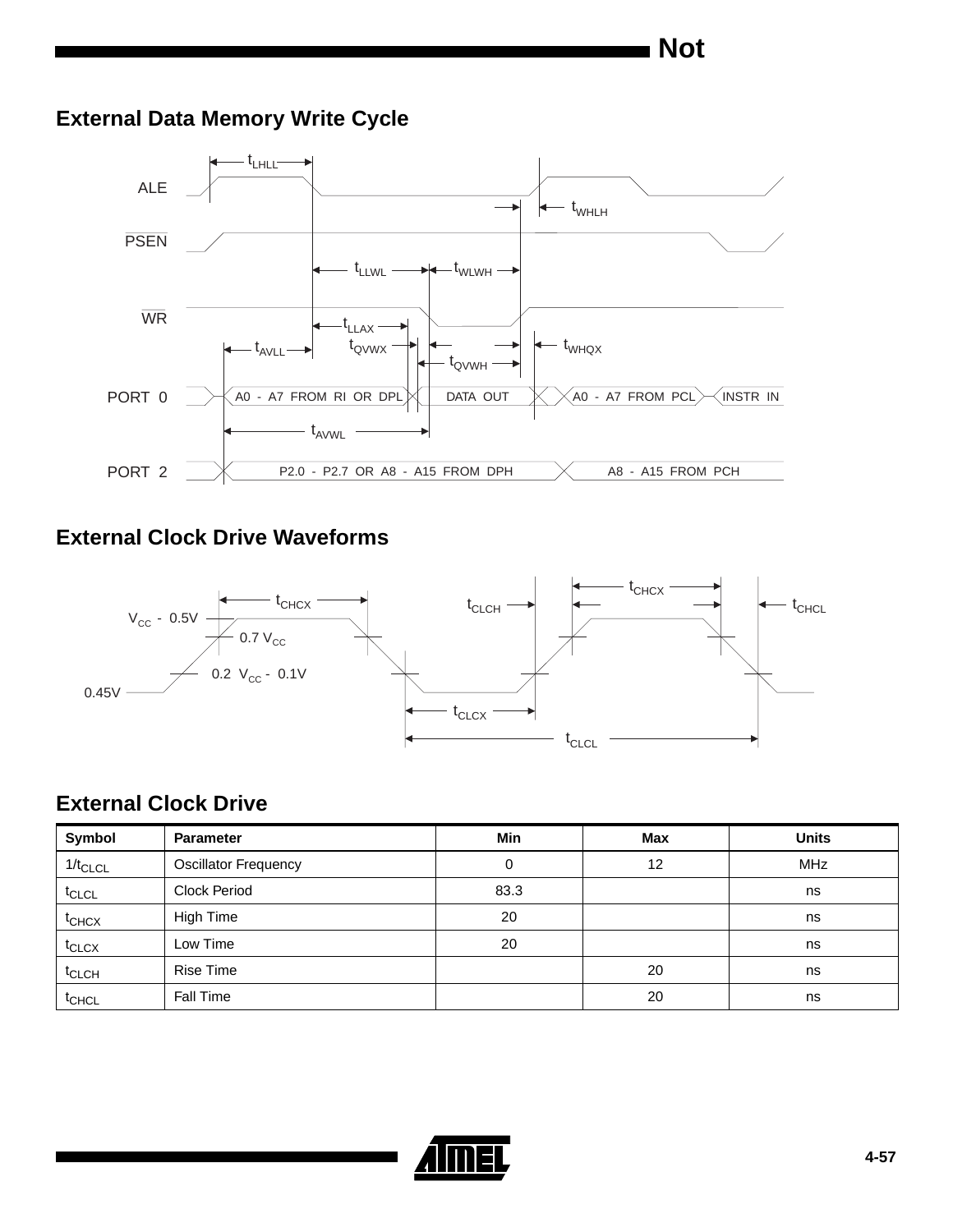

**Not** 

## **External Clock Drive Waveforms**



## **External Clock Drive**

| Symbol            | <b>Parameter</b>            | <b>Min</b> | <b>Max</b> | <b>Units</b> |
|-------------------|-----------------------------|------------|------------|--------------|
| $1/t_{CLCL}$      | <b>Oscillator Frequency</b> | 0          | 12         | <b>MHz</b>   |
| t <sub>CLCL</sub> | Clock Period                | 83.3       |            | ns           |
| $t$ CHCX          | High Time                   | 20         |            | ns           |
| t <sub>CLCX</sub> | Low Time                    | 20         |            | ns           |
| <sup>t</sup> CLCH | Rise Time                   |            | 20         | ns           |
| t <sub>CHCL</sub> | Fall Time                   |            | 20         | ns           |

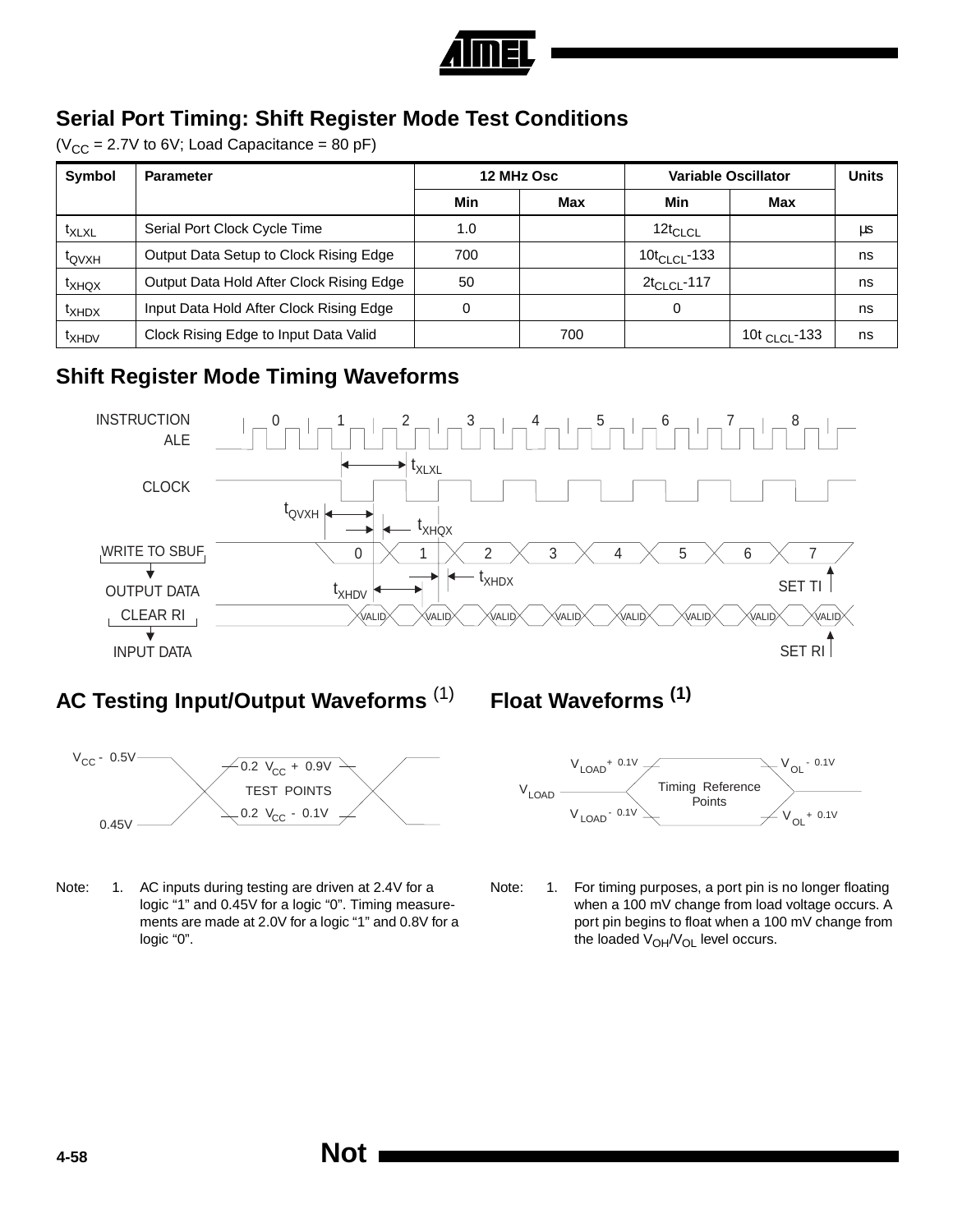

## **Serial Port Timing: Shift Register Mode Test Conditions**

 $(V_{CC} = 2.7V$  to 6V; Load Capacitance = 80 pF)

| Symbol            | <b>Parameter</b>                         |     | 12 MHz Osc |                           | <b>Variable Oscillator</b> | <b>Units</b> |
|-------------------|------------------------------------------|-----|------------|---------------------------|----------------------------|--------------|
|                   |                                          | Min | Max        | Min                       | Max                        |              |
| $t_{\text{XLXL}}$ | Serial Port Clock Cycle Time             | 1.0 |            | $12t_{CLCL}$              |                            | μs           |
| t <sub>QVXH</sub> | Output Data Setup to Clock Rising Edge   | 700 |            | 10t <sub>Cl Cl</sub> -133 |                            | ns           |
| t <sub>XHQX</sub> | Output Data Hold After Clock Rising Edge | 50  |            | $2t_{CLCL}$ -117          |                            | ns           |
| $t_{XHDX}$        | Input Data Hold After Clock Rising Edge  | 0   |            | 0                         |                            | ns           |
| <sup>t</sup> XHDV | Clock Rising Edge to Input Data Valid    |     | 700        |                           | 10t $_{CLCL}$ -133         | ns           |

#### **Shift Register Mode Timing Waveforms**



## **AC Testing Input/Output Waveforms** (1)



Note: 1. AC inputs during testing are driven at 2.4V for a logic "1" and 0.45V for a logic "0". Timing measurements are made at 2.0V for a logic "1" and 0.8V for a logic "0".

#### **Float Waveforms (1)**



Note: 1. For timing purposes, a port pin is no longer floating when a 100 mV change from load voltage occurs. A port pin begins to float when a 100 mV change from the loaded  $V_{OH}/V_{OL}$  level occurs.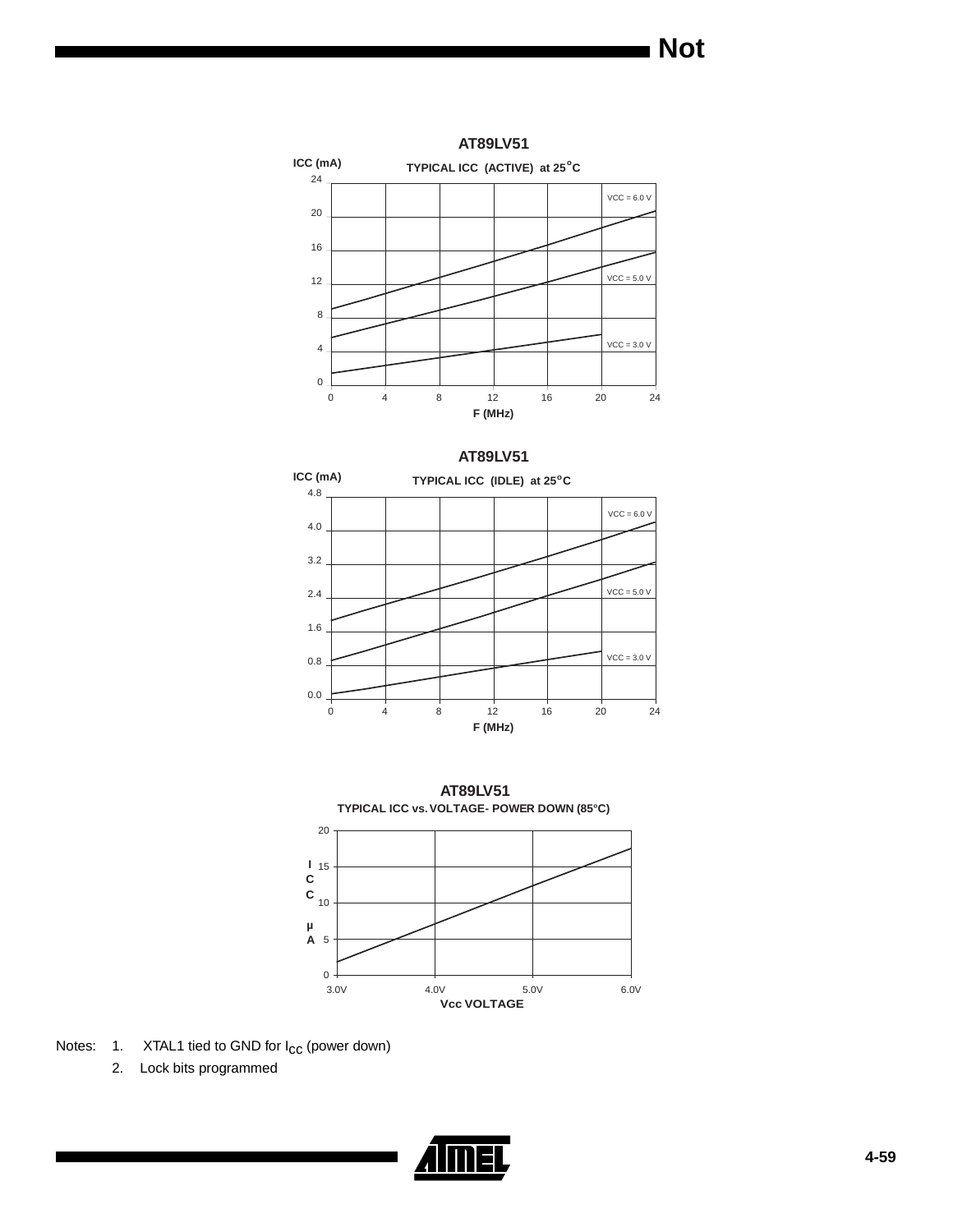









- Notes:  $1.$  XTAL1 tied to GND for  $I_{CC}$  (power down)
	- 2. Lock bits programmed